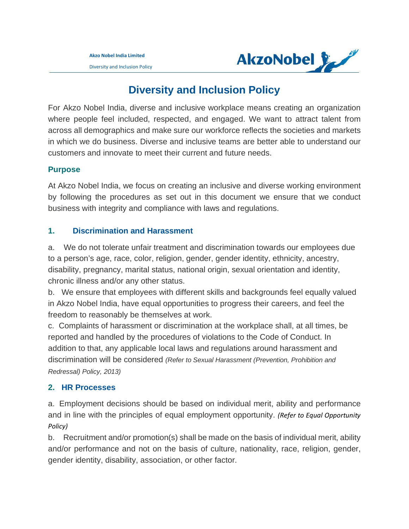Diversity and Inclusion Policy



# **Diversity and Inclusion Policy**

For Akzo Nobel India, diverse and inclusive workplace means creating an organization where people feel included, respected, and engaged. We want to attract talent from across all demographics and make sure our workforce reflects the societies and markets in which we do business. Diverse and inclusive teams are better able to understand our customers and innovate to meet their current and future needs.

## **Purpose**

At Akzo Nobel India, we focus on creating an inclusive and diverse working environment by following the procedures as set out in this document we ensure that we conduct business with integrity and compliance with laws and regulations.

## **1. Discrimination and Harassment**

a. We do not tolerate unfair treatment and discrimination towards our employees due to a person's age, race, color, religion, gender, gender identity, ethnicity, ancestry, disability, pregnancy, marital status, national origin, sexual orientation and identity, chronic illness and/or any other status.

b. We ensure that employees with different skills and backgrounds feel equally valued in Akzo Nobel India, have equal opportunities to progress their careers, and feel the freedom to reasonably be themselves at work.

c. Complaints of harassment or discrimination at the workplace shall, at all times, be reported and handled by the procedures of violations to the Code of Conduct. In addition to that, any applicable local laws and regulations around harassment and discrimination will be considered *(Refer to Sexual Harassment (Prevention, Prohibition and Redressal) Policy, 2013)*

## **2. HR Processes**

a. Employment decisions should be based on individual merit, ability and performance and in line with the principles of equal employment opportunity. *(Refer to Equal Opportunity Policy)* 

b. Recruitment and/or promotion(s) shall be made on the basis of individual merit, ability and/or performance and not on the basis of culture, nationality, race, religion, gender, gender identity, disability, association, or other factor.